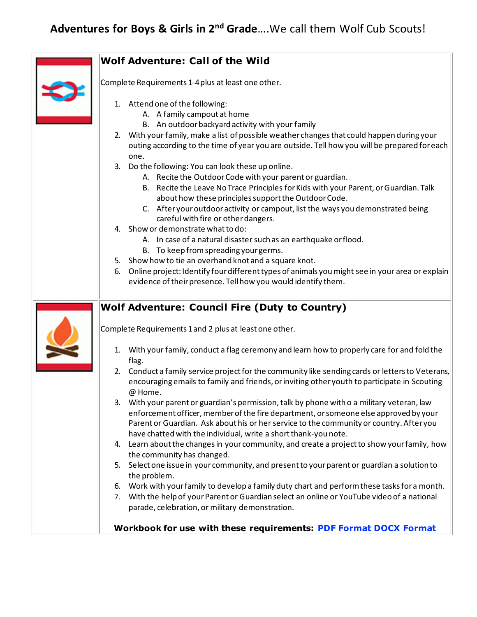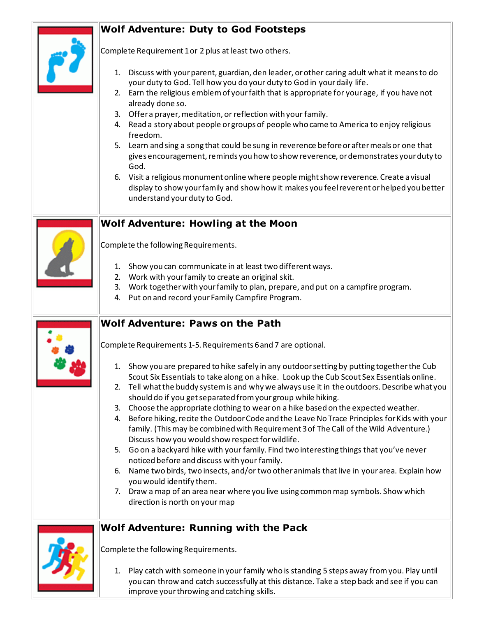# **Wolf Adventure: Duty to God Footsteps**



Complete Requirement 1 or 2 plus at least two others.

- 1. Discuss with your parent, guardian, den leader, or other caring adult what it means to do your duty to God. Tell how you do your duty to God in your daily life.
- 2. Earn the religious emblem of your faith that is appropriate for your age, if you have not already done so.
- 3. Offer a prayer, meditation, or reflection with your family.
- 4. Read a story about people or groups of people who came to America to enjoy religious freedom.
- 5. Learn and sing a song that could be sung in reverence before or after meals or one that gives encouragement, reminds you how to show reverence, or demonstrates your duty to God.
- 6. Visit a religious monumentonline where people might show reverence. Create a visual display to show your family and show how it makes you feel reverent or helped you better understand your duty to God.

### **Wolf Adventure: Howling at the Moon**



Complete the following Requirements.

- 1. Show you can communicate in at least two different ways.
- 2. Work with your family to create an original skit.
- 3. Work together with your family to plan, prepare, and put on a campfire program.
- 4. Put on and record your Family Campfire Program.

## **Wolf Adventure: Paws on the Path**

Complete Requirements 1-5. Requirements 6 and 7 are optional.

- 1. Show you are prepared to hike safely in any outdoor setting by putting together the Cub Scout Six Essentials to take along on a hike. Look up the Cub Scout Sex Essentials online.
- 2. Tell what the buddy system is and why we always use it in the outdoors. Describe what you should do if you get separated from your group while hiking.
- 3. Choose the appropriate clothing to wear on a hike based on the expected weather.
- 4. Before hiking, recite the Outdoor Code and the Leave No Trace Principles for Kids with your family. (This may be combined with Requirement 3 of The Call of the Wild Adventure.) Discuss how you would show respect for wildlife.
- 5. Go on a backyard hike with your family. Find two interesting things that you've never noticed before and discuss with your family.
- 6. Name two birds, two insects, and/or two otheranimals that live in your area. Explain how you would identify them.
- 7. Draw a map of an area near where you live using common map symbols. Show which direction is north on your map

## **Wolf Adventure: Running with the Pack**



Complete the following Requirements.

1. Play catch with someone in your family who is standing 5 steps away from you. Play until you can throw and catch successfully at this distance. Take a step back and see if you can improve your throwing and catching skills.